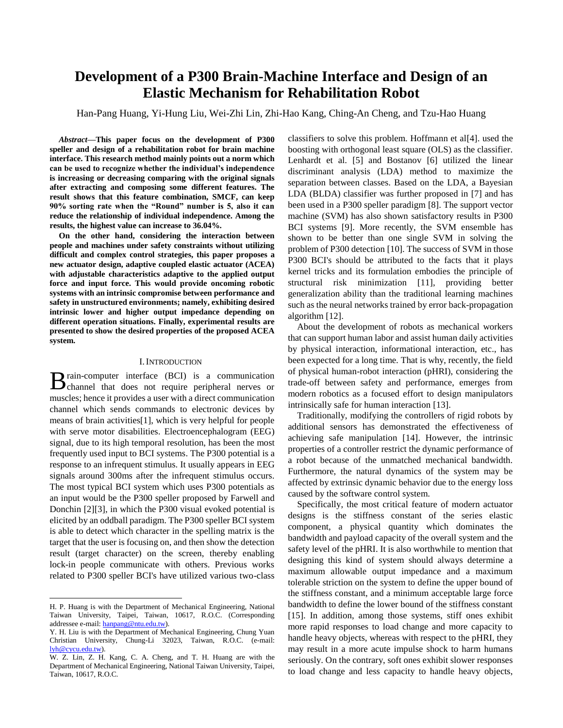# **Development of a P300 Brain-Machine Interface and Design of an Elastic Mechanism for Rehabilitation Robot**

Han-Pang Huang, Yi-Hung Liu, Wei-Zhi Lin, Zhi-Hao Kang, Ching-An Cheng, and Tzu-Hao Huang

*Abstract***—This paper focus on the development of P300 speller and design of a rehabilitation robot for brain machine interface. This research method mainly points out a norm which can be used to recognize whether the individual's independence is increasing or decreasing comparing with the original signals after extracting and composing some different features. The result shows that this feature combination, SMCF, can keep 90% sorting rate when the "Round" number is 5, also it can reduce the relationship of individual independence. Among the results, the highest value can increase to 36.04%.** 

**On the other hand, considering the interaction between people and machines under safety constraints without utilizing difficult and complex control strategies, this paper proposes a new actuator design, adaptive coupled elastic actuator (ACEA) with adjustable characteristics adaptive to the applied output force and input force. This would provide oncoming robotic systems with an intrinsic compromise between performance and safety in unstructured environments; namely, exhibiting desired intrinsic lower and higher output impedance depending on different operation situations. Finally, experimental results are presented to show the desired properties of the proposed ACEA system.**

## I.INTRODUCTION

rain-computer interface (BCI) is a communication B rain-computer interface (BCI) is a communication<br>channel that does not require peripheral nerves or muscles; hence it provides a user with a direct communication channel which sends commands to electronic devices by means of brain activities[\[1\]](#page-5-0), which is very helpful for people with serve motor disabilities. Electroencephalogram (EEG) signal, due to its high temporal resolution, has been the most frequently used input to BCI systems. The P300 potential is a response to an infrequent stimulus. It usually appears in EEG signals around 300ms after the infrequent stimulus occurs. The most typical BCI system which uses P300 potentials as an input would be the P300 speller proposed by Farwell and Donchin [\[2\]](#page-5-1)[\[3\]](#page-5-2), in which the P300 visual evoked potential is elicited by an oddball paradigm. The P300 speller BCI system is able to detect which character in the spelling matrix is the target that the user is focusing on, and then show the detection result (target character) on the screen, thereby enabling lock-in people communicate with others. Previous works related to P300 speller BCI's have utilized various two-class

classifiers to solve this problem. Hoffmann et al[\[4\]](#page-5-3). used the boosting with orthogonal least square (OLS) as the classifier. Lenhardt et al. [\[5\]](#page-5-4) and Bostanov [\[6\]](#page-5-5) utilized the linear discriminant analysis (LDA) method to maximize the separation between classes. Based on the LDA, a Bayesian LDA (BLDA) classifier was further proposed in [\[7\]](#page-5-6) and has been used in a P300 speller paradigm [\[8\]](#page-5-7). The support vector machine (SVM) has also shown satisfactory results in P300 BCI systems [\[9\]](#page-5-8). More recently, the SVM ensemble has shown to be better than one single SVM in solving the problem of P300 detection [\[10\]](#page-5-9). The success of SVM in those P300 BCI's should be attributed to the facts that it plays kernel tricks and its formulation embodies the principle of structural risk minimization [\[11\]](#page-5-10), providing better generalization ability than the traditional learning machines such as the neural networks trained by error back-propagation algorithm [\[12\]](#page-5-11).

About the development of robots as mechanical workers that can support human labor and assist human daily activities by physical interaction, informational interaction, etc., has been expected for a long time. That is why, recently, the field of physical human-robot interaction (pHRI), considering the trade-off between safety and performance, emerges from modern robotics as a focused effort to design manipulators intrinsically safe for human interaction [\[13\]](#page-5-12).

Traditionally, modifying the controllers of rigid robots by additional sensors has demonstrated the effectiveness of achieving safe manipulation [\[14\]](#page-5-13). However, the intrinsic properties of a controller restrict the dynamic performance of a robot because of the unmatched mechanical bandwidth. Furthermore, the natural dynamics of the system may be affected by extrinsic dynamic behavior due to the energy loss caused by the software control system.

Specifically, the most critical feature of modern actuator designs is the stiffness constant of the series elastic component, a physical quantity which dominates the bandwidth and payload capacity of the overall system and the safety level of the pHRI. It is also worthwhile to mention that designing this kind of system should always determine a maximum allowable output impedance and a maximum tolerable striction on the system to define the upper bound of the stiffness constant, and a minimum acceptable large force bandwidth to define the lower bound of the stiffness constant [\[15\]](#page-6-0). In addition, among those systems, stiff ones exhibit more rapid responses to load change and more capacity to handle heavy objects, whereas with respect to the pHRI, they may result in a more acute impulse shock to harm humans seriously. On the contrary, soft ones exhibit slower responses to load change and less capacity to handle heavy objects,

H. P. Huang is with the Department of Mechanical Engineering, National Taiwan University, Taipei, Taiwan, 10617, R.O.C. (Corresponding addressee e-mail: [hanpang@ntu.edu.tw\)](mailto:hanpang@ntu.edu.tw).

Y. H. Liu is with the Department of Mechanical Engineering, Chung Yuan Christian University, Chung-Li 32023, Taiwan, R.O.C. (e-mail: [lyh@cycu.edu.tw\)](mailto:lyh@cycu.edu.tw).

W. Z. Lin, Z. H. Kang, C. A. Cheng, and T. H. Huang are with the Department of Mechanical Engineering, National Taiwan University, Taipei, Taiwan, 10617, R.O.C.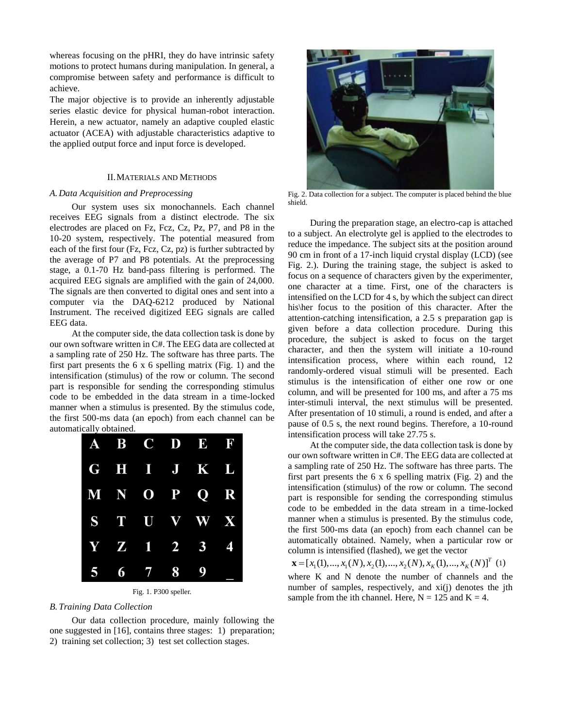whereas focusing on the pHRI, they do have intrinsic safety motions to protect humans during manipulation. In general, a compromise between safety and performance is difficult to achieve.

The major objective is to provide an inherently adjustable series elastic device for physical human-robot interaction. Herein, a new actuator, namely an adaptive coupled elastic actuator (ACEA) with adjustable characteristics adaptive to the applied output force and input force is developed.

# II.MATERIALS AND METHODS

## *A. Data Acquisition and Preprocessing*

Our system uses six monochannels. Each channel receives EEG signals from a distinct electrode. The six electrodes are placed on Fz, Fcz, Cz, Pz, P7, and P8 in the 10-20 system, respectively. The potential measured from each of the first four (Fz, Fcz, Cz, pz) is further subtracted by the average of P7 and P8 potentials. At the preprocessing stage, a 0.1-70 Hz band-pass filtering is performed. The acquired EEG signals are amplified with the gain of 24,000. The signals are then converted to digital ones and sent into a computer via the DAQ-6212 produced by National Instrument. The received digitized EEG signals are called EEG data.

At the computer side, the data collection task is done by our own software written in C#. The EEG data are collected at a sampling rate of 250 Hz. The software has three parts. The first part presents the 6 x 6 spelling matrix [\(Fig.](#page-1-0) 1) and the intensification (stimulus) of the row or column. The second part is responsible for sending the corresponding stimulus code to be embedded in the data stream in a time-locked manner when a stimulus is presented. By the stimulus code, the first 500-ms data (an epoch) from each channel can be automatically obtained.



Fig. 1. P300 speller.

# <span id="page-1-0"></span>*B. Training Data Collection*

Our data collection procedure, mainly following the one suggested in [\[16\]](#page-6-1), contains three stages: 1) preparation; 2) training set collection; 3) test set collection stages.



Fig. 2. Data collection for a subject. The computer is placed behind the blue shield.

<span id="page-1-1"></span>During the preparation stage, an electro-cap is attached to a subject. An electrolyte gel is applied to the electrodes to reduce the impedance. The subject sits at the position around 90 cm in front of a 17-inch liquid crystal display (LCD) (see [Fig. 2.\)](#page-1-1). During the training stage, the subject is asked to focus on a sequence of characters given by the experimenter, one character at a time. First, one of the characters is intensified on the LCD for 4 s, by which the subject can direct his\her focus to the position of this character. After the attention-catching intensification, a 2.5 s preparation gap is given before a data collection procedure. During this procedure, the subject is asked to focus on the target character, and then the system will initiate a 10-round intensification process, where within each round, 12 randomly-ordered visual stimuli will be presented. Each stimulus is the intensification of either one row or one column, and will be presented for 100 ms, and after a 75 ms inter-stimuli interval, the next stimulus will be presented. After presentation of 10 stimuli, a round is ended, and after a pause of 0.5 s, the next round begins. Therefore, a 10-round intensification process will take 27.75 s.

At the computer side, the data collection task is done by our own software written in C#. The EEG data are collected at a sampling rate of 250 Hz. The software has three parts. The first part presents the 6 x 6 spelling matrix (Fig. 2) and the intensification (stimulus) of the row or column. The second part is responsible for sending the corresponding stimulus code to be embedded in the data stream in a time-locked manner when a stimulus is presented. By the stimulus code, the first 500-ms data (an epoch) from each channel can be automatically obtained. Namely, when a particular row or column is intensified (flashed), we get the vector utomatically obtained. Namely, when a particular re-<br>
olumn is intensified (flashed), we get the vector<br>  $\mathbf{x} = [x_1(1),...,x_1(N),x_2(1),...,x_2(N),x_K(1),...,x_K(N)]^T$ 

$$
\mathbf{x} = [x_1(1), ..., x_1(N), x_2(1), ..., x_2(N), x_K(1), ..., x_K(N)]^T
$$
 (1)

where K and N denote the number of channels and the number of samples, respectively, and xi(j) denotes the jth sample from the ith channel. Here,  $N = 125$  and  $K = 4$ .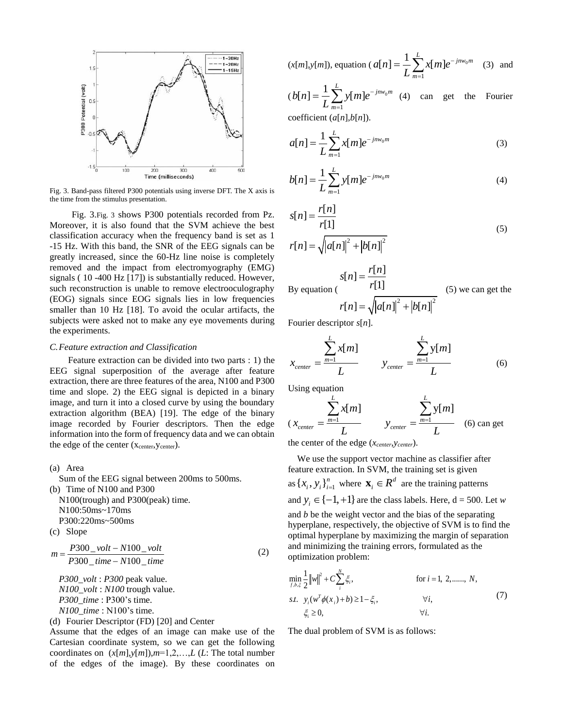

<span id="page-2-0"></span>Fig. 3. Band-pass filtered P300 potentials using inverse DFT. The X axis is the time from the stimulus presentation.

[Fig.](#page-2-0) 3.[Fig.](#page-2-0) 3 shows P300 potentials recorded from Pz. Moreover, it is also found that the SVM achieve the best classification accuracy when the frequency band is set as 1 -15 Hz. With this band, the SNR of the EEG signals can be greatly increased, since the 60-Hz line noise is completely removed and the impact from electromyography (EMG) signals ( 10 -400 Hz [\[17\]](#page-6-2)) is substantially reduced. However, such reconstruction is unable to remove electrooculography (EOG) signals since EOG signals lies in low frequencies smaller than 10 Hz [\[18\]](#page-6-3). To avoid the ocular artifacts, the subjects were asked not to make any eye movements during the experiments.

# *C.Feature extraction and Classification*

Feature extraction can be divided into two parts : 1) the EEG signal superposition of the average after feature extraction, there are three features of the area, N100 and P300 time and slope. 2) the EEG signal is depicted in a binary image, and turn it into a closed curve by using the boundary extraction algorithm (BEA) [\[19\]](#page-6-4). The edge of the binary image recorded by Fourier descriptors. Then the edge information into the form of frequency data and we can obtain the edge of the center ( $x_{center}$ ,  $y_{center}$ ).

(a) Area

Sum of the EEG signal between 200ms to 500ms.

(b) Time of N100 and P300 N100(trough) and P300(peak) time. N100:50ms~170ms P300:220ms~500ms

(c) Slope

$$
m = \frac{P300\_volt - N100\_volt}{P300\_time - N100\_time}
$$
 (2)

*P300\_volt* : *P300* peak value. *N100\_volt* : *N100* trough value. *P300\_time* : P300's time. *N100\_time* : N100's time.

(d) Fourier Descriptor (FD) [\[20\]](#page-6-5) and Center

Assume that the edges of an image can make use of the Cartesian coordinate system, so we can get the following coordinates on  $(x[m], y[m])$ ,  $m=1,2,...,L$  (*L*: The total number of the edges of the image). By these coordinates on

$$
(x[m], y[m])
$$
, equation  $(a[n] = \frac{1}{L} \sum_{m=1}^{L} x[m] e^{-j m v_0 m}$  (3) and

$$
(b[n] = \frac{1}{L} \sum_{m=1}^{L} y[m] e^{-j n w_0 m}
$$
 (4) can get the Fourier  
coefficient  $(a[n].b[n])$ .

coefficient (*a*[*n*]*,b*[*n*]).

<span id="page-2-1"></span>
$$
a[n] = \frac{1}{L} \sum_{m=1}^{L} x[m] e^{-j m v_0 m}
$$
 (3)

<span id="page-2-2"></span>
$$
b[n] = \frac{1}{L} \sum_{m=1}^{L} y[m] e^{-j m w_0 m}
$$
 (4)

<span id="page-2-3"></span>
$$
s[n] = \frac{r[n]}{r[1]}
$$
  

$$
r[n] = \sqrt{|a[n]|^2 + |b[n]|^2}
$$
 (5)

(5) we can get the

By equation (  $^{2}$   $\sqrt{15 - 1}^{2}$  $[n] = \frac{r[n]}{[n]}$ [1]  $s[n] = \frac{r[n]}{r!}$ *r* =

 $[n] = \sqrt{|a[n]|^2 + |b[n]|^2}$  $r[n] = \sqrt{|a[n]|^2 + |b[n]|^2}$  $=\sqrt{|a[n]|^2+|b|}$ 

Fourier descriptor *s*[*n*].

<span id="page-2-4"></span>Fourier descriptor 
$$
s[n]
$$
.  
\n
$$
x_{center} = \frac{\sum_{m=1}^{L} x[m]}{L} \qquad y_{center} = \frac{\sum_{m=1}^{L} y[m]}{L}
$$
\n(6)

Using equation

Using equation  
\n
$$
(x_{center} = \frac{\sum_{m=1}^{L} x[m]}{L} \qquad y_{center} = \frac{\sum_{m=1}^{L} y[m]}{L}
$$
\n(6) can get

the center of the edge (*xcenter*,*ycenter*).

We use the support vector machine as classifier after feature extraction. In SVM, the training set is given as  $\{x_i, y_i\}_{i=1}^n$  where  $\mathbf{x}_i \in \mathbb{R}^d$  are the training patterns and  $y_i \in \{-1, +1\}$  are the class labels. Here,  $d = 500$ . Let *w* and *b* be the weight vector and the bias of the separating hyperplane, respectively, the objective of SVM is to find the optimal hyperplane by maximizing the margin of separation and minimizing the training errors, formulated as the optimization problem:

optimization problem:

\n
$$
\min_{f, b, \xi} \frac{1}{2} \|w\|^2 + C \sum_{i}^{N} \xi_i,
$$
\nfor  $i = 1, 2, \dots, N$ ,\n\ns.t.  $y_i(w^T \phi(x_i) + b) \ge 1 - \xi_i,$   $\forall i,$   $\xi_i \ge 0,$   $\forall i.$  (7)

The dual problem of SVM is as follows: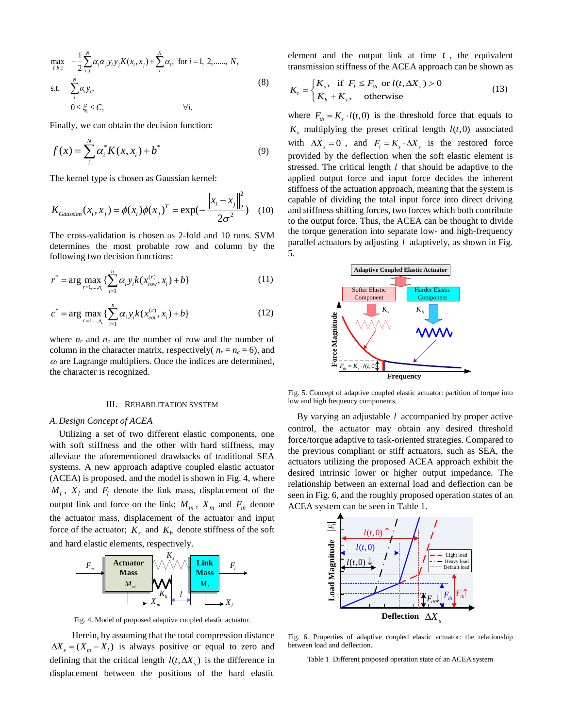$$
\max_{\substack{f, b, \xi \\ f, b, \xi}} \quad -\frac{1}{2} \sum_{i,j}^{N} \alpha_i \alpha_j y_i y_j K(x_i, x_j) + \sum_{i}^{N} \alpha_i, \text{ for } i = 1, 2, \dots, N,
$$
\n
$$
\text{s.t.} \quad \sum_{i}^{N} \alpha_i y_i, \quad (8)
$$
\n
$$
0 \le \xi_i \le C, \quad \forall i.
$$

Finally, we can obtain the decision function:

$$
f(x) = \sum_{i}^{N} \alpha_{i}^{*} K(x, x_{i}) + b^{*}
$$
 (9)

The kernel type is chosen as Gaussian kernel:

The Kernel type is chosen as Gaussian kernet:  
\n
$$
K_{Gaussian}(x_i, x_j) = \phi(x_i)\phi(x_j)^T = \exp(-\frac{\left\|x_i - x_j\right\|_2^2}{2\sigma^2}) \quad (10)
$$

The cross-validation is chosen as 2-fold and 10 runs. SVM determines the most probable row and column by the following two decision functions:

$$
r^* = \arg \max_{r=1,\dots,n_r} \{ \sum_{i=1}^n \alpha_i y_i k(x_{row}^{(r)}, x_i) + b \}
$$
 (11)

$$
c^* = \arg \max_{c=1,\dots,n_c} \{ \sum_{i=1}^n \alpha_i y_i k(x_{col}^{(c)}, x_i) + b \}
$$
 (12)

where  $n_r$  and  $n_c$  are the number of row and the number of column in the character matrix, respectively( $n_r = n_c = 6$ ), and  $\alpha_i$  are Lagrange multipliers. Once the indices are determined, the character is recognized.

#### III. REHABILITATION SYSTEM

#### *A. Design Concept of ACEA*

Utilizing a set of two different elastic components, one with soft stiffness and the other with hard stiffness, may alleviate the aforementioned drawbacks of traditional SEA systems. A new approach adaptive coupled elastic actuator (ACEA) is proposed, and the model is shown i[n Fig.](#page-3-0) 4, where  $M_l$ ,  $X_l$  and  $F_l$  denote the link mass, displacement of the output link and force on the link;  $M_m$ ,  $X_m$  and  $F_m$  denote the actuator mass, displacement of the actuator and input force of the actuator;  $K_s$  and  $K_h$  denote stiffness of the soft and hard elastic elements, respectively.



Fig. 4. Model of proposed adaptive coupled elastic actuator.

<span id="page-3-0"></span>Herein, by assuming that the total compression distance  $\Delta X_s = (X_m - X_l)$  is always positive or equal to zero and defining that the critical length  $l(t, \Delta X_s)$  is the difference in displacement between the positions of the hard elastic

element and the output link at time  $t$ , the equivalent

transmission stiffness of the ACEA approach can be shown as  
\n
$$
K_{t} = \begin{cases} K_{s}, & \text{if } F_{t} \leq F_{th} \text{ or } l(t, \Delta X_{s}) > 0 \\ K_{h} + K_{s}, & \text{otherwise} \end{cases}
$$
\n(13)

where  $F_{th} = K_s \cdot l(t,0)$  is the threshold force that equals to  $K_s$  multiplying the preset critical length  $l(t,0)$  associated with  $\Delta X_s = 0$ , and  $F_l = K_s \cdot \Delta X_s$  is the restored force provided by the deflection when the soft elastic element is stressed. The critical length *l* that should be adaptive to the applied output force and input force decides the inherent stiffness of the actuation approach, meaning that the system is capable of dividing the total input force into direct driving and stiffness shifting forces, two forces which both contribute to the output force. Thus, the ACEA can be thought to divide the torque generation into separate low- and high-frequency parallel actuators by adjusting *l* adaptively, as shown in [Fig.](#page-3-1) [5.](#page-3-1)



<span id="page-3-1"></span>Fig. 5. Concept of adaptive coupled elastic actuator: partition of torque into low and high frequency components.

By varying an adjustable *l* accompanied by proper active control, the actuator may obtain any desired threshold force/torque adaptive to task-oriented strategies. Compared to the previous compliant or stiff actuators, such as SEA, the actuators utilizing the proposed ACEA approach exhibit the desired intrinsic lower or higher output impedance. The relationship between an external load and deflection can be ACEA system can be seen in [Table 1.](#page-3-3)



<span id="page-3-3"></span><span id="page-3-2"></span>Fig. 6. Properties of adaptive coupled elastic actuator: the relationship between load and deflection.

Table 1 Different proposed operation state of an ACEA system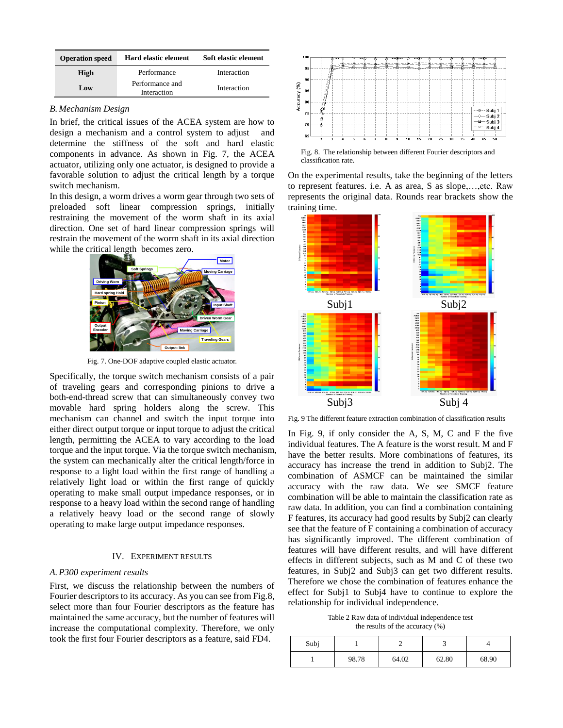| <b>Operation speed</b> | <b>Hard elastic element</b>    | Soft elastic element |
|------------------------|--------------------------------|----------------------|
| High                   | Performance                    | Interaction          |
| Low                    | Performance and<br>Interaction | Interaction          |

# *B. Mechanism Design*

In brief, the critical issues of the ACEA system are how to design a mechanism and a control system to adjust and determine the stiffness of the soft and hard elastic components in advance. As shown in [Fig.](#page-4-0) 7, the ACEA actuator, utilizing only one actuator, is designed to provide a favorable solution to adjust the critical length by a torque switch mechanism.

In this design, a worm drives a worm gear through two sets of preloaded soft linear compression springs, initially restraining the movement of the worm shaft in its axial direction. One set of hard linear compression springs will restrain the movement of the worm shaft in its axial direction while the critical length becomes zero.



Fig. 7. One-DOF adaptive coupled elastic actuator.

<span id="page-4-0"></span>Specifically, the torque switch mechanism consists of a pair of traveling gears and corresponding pinions to drive a both-end-thread screw that can simultaneously convey two movable hard spring holders along the screw. This mechanism can channel and switch the input torque into either direct output torque or input torque to adjust the critical length, permitting the ACEA to vary according to the load torque and the input torque. Via the torque switch mechanism, the system can mechanically alter the critical length/force in response to a light load within the first range of handling a relatively light load or within the first range of quickly operating to make small output impedance responses, or in response to a heavy load within the second range of handling a relatively heavy load or the second range of slowly operating to make large output impedance responses.

# IV. EXPERIMENT RESULTS

# *A.P300 experiment results*

First, we discuss the relationship between the numbers of Fourier descriptors to its accuracy. As you can see from Fig.8, select more than four Fourier descriptors as the feature has maintained the same accuracy, but the number of features will increase the computational complexity. Therefore, we only took the first four Fourier descriptors as a feature, said FD4.



Fig. 8. The relationship between different Fourier descriptors and classification rate.

On the experimental results, take the beginning of the letters to represent features. i.e. A as area, S as slope,…,etc. Raw represents the original data. Rounds rear brackets show the training time.



<span id="page-4-1"></span>Fig. 9 The different feature extraction combination of classification results

In [Fig.](#page-4-1) 9, if only consider the A, S, M, C and F the five individual features. The A feature is the worst result. M and F have the better results. More combinations of features, its accuracy has increase the trend in addition to Subj2. The combination of ASMCF can be maintained the similar accuracy with the raw data. We see SMCF feature combination will be able to maintain the classification rate as raw data. In addition, you can find a combination containing F features, its accuracy had good results by Subj2 can clearly see that the feature of F containing a combination of accuracy has significantly improved. The different combination of features will have different results, and will have different effects in different subjects, such as M and C of these two features, in Subj2 and Subj3 can get two different results. Therefore we chose the combination of features enhance the effect for Subj1 to Subj4 have to continue to explore the relationship for individual independence.

Table 2 Raw data of individual independence test the results of the accuracy (%)

| Subj |       |       | سه    |       |
|------|-------|-------|-------|-------|
|      | 98.78 | 64.02 | 62.80 | 68.90 |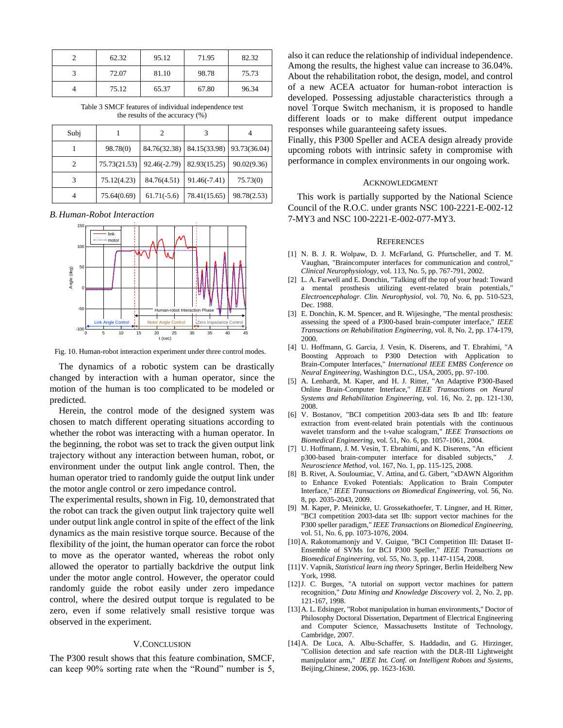| 62.32 | 95.12 | 71.95 | 82.32 |
|-------|-------|-------|-------|
| 72.07 | 81.10 | 98.78 | 75.73 |
| 75.12 | 65.37 | 67.80 | 96.34 |

Table 3 SMCF features of individual independence test the results of the accuracy (%)

| Subj |              | 2                           |                                        |             |
|------|--------------|-----------------------------|----------------------------------------|-------------|
|      | 98.78(0)     |                             | 84.76(32.38) 84.15(33.98) 93.73(36.04) |             |
|      | 75.73(21.53) | $92.46(-2.79)$ 82.93(15.25) |                                        | 90.02(9.36) |
| 3    | 75.12(4.23)  | 84.76(4.51)                 | $91.46(-7.41)$                         | 75.73(0)    |
|      | 75.64(0.69)  | $61.71(-5.6)$               | 78.41(15.65)                           | 98.78(2.53) |

*B. Human-Robot Interaction* 



<span id="page-5-14"></span>Fig. 10. Human-robot interaction experiment under three control modes.

The dynamics of a robotic system can be drastically changed by interaction with a human operator, since the motion of the human is too complicated to be modeled or predicted.

Herein, the control mode of the designed system was chosen to match different operating situations according to whether the robot was interacting with a human operator. In the beginning, the robot was set to track the given output link trajectory without any interaction between human, robot, or environment under the output link angle control. Then, the human operator tried to randomly guide the output link under the motor angle control or zero impedance control.

The experimental results, shown in [Fig.](#page-5-14) 10, demonstrated that the robot can track the given output link trajectory quite well under output link angle control in spite of the effect of the link dynamics as the main resistive torque source. Because of the flexibility of the joint, the human operator can force the robot to move as the operator wanted, whereas the robot only allowed the operator to partially backdrive the output link under the motor angle control. However, the operator could randomly guide the robot easily under zero impedance control, where the desired output torque is regulated to be zero, even if some relatively small resistive torque was observed in the experiment.

# V.CONCLUSION

The P300 result shows that this feature combination, SMCF, can keep 90% sorting rate when the "Round" number is 5, also it can reduce the relationship of individual independence. Among the results, the highest value can increase to 36.04%. About the rehabilitation robot, the design, model, and control of a new ACEA actuator for human-robot interaction is developed. Possessing adjustable characteristics through a novel Torque Switch mechanism, it is proposed to handle different loads or to make different output impedance responses while guaranteeing safety issues.

Finally, this P300 Speller and ACEA design already provide upcoming robots with intrinsic safety in compromise with performance in complex environments in our ongoing work.

# ACKNOWLEDGMENT

This work is partially supported by the National Science Council of the R.O.C. under grants NSC 100-2221-E-002-12 7-MY3 and NSC 100-2221-E-002-077-MY3.

## **REFERENCES**

- <span id="page-5-0"></span>[1] N. B. J. R. Wolpaw, D. J. McFarland, G. Pfurtscheller, and T. M. Vaughan, "Braincomputer interfaces for communication and control," *Clinical Neurophysiology,* vol. 113, No. 5, pp. 767-791, 2002.
- <span id="page-5-1"></span>[2] L. A. Farwell and E. Donchin, "Talking off the top of your head: Toward a mental prosthesis utilizing event-related brain potentials," *Electroencephalogr. Clin. Neurophysiol,* vol. 70, No. 6, pp. 510-523, Dec. 1988.
- <span id="page-5-2"></span>[3] E. Donchin, K. M. Spencer, and R. Wijesinghe, "The mental prosthesis: assessing the speed of a P300-based brain-computer interface," *IEEE Transactions on Rehabilitation Engineering,* vol. 8, No. 2, pp. 174-179, 2000.
- <span id="page-5-3"></span>[4] U. Hoffmann, G. Garcia, J. Vesin, K. Diserens, and T. Ebrahimi, "A Boosting Approach to P300 Detection with Application to Brain-Computer Interfaces," *International IEEE EMBS Conference on Neural Engineering*, Washington D.C., USA, 2005, pp. 97-100.
- <span id="page-5-4"></span>[5] A. Lenhardt, M. Kaper, and H. J. Ritter, "An Adaptive P300-Based Online Brain-Computer Interface," *IEEE Transactions on Neural Systems and Rehabilitation Engineering,* vol. 16, No. 2, pp. 121-130, 2008.
- <span id="page-5-5"></span>[6] V. Bostanov, "BCI competition 2003-data sets Ib and IIb: feature extraction from event-related brain potentials with the continuous wavelet transform and the t-value scalogram," *IEEE Transactions on Biomedical Engineering,* vol. 51, No. 6, pp. 1057-1061, 2004.
- <span id="page-5-6"></span>[7] U. Hoffmann, J. M. Vesin, T. Ebrahimi, and K. Diserens, "An efficient p300-based brain-computer interface for disabled subjects," *J. Neuroscience Method,* vol. 167, No. 1, pp. 115-125, 2008.
- <span id="page-5-7"></span>[8] B. Rivet, A. Souloumiac, V. Attina, and G. Gibert, "xDAWN Algorithm to Enhance Evoked Potentials: Application to Brain Computer Interface," *IEEE Transactions on Biomedical Engineering,* vol. 56, No. 8, pp. 2035-2043, 2009.
- <span id="page-5-8"></span>[9] M. Kaper, P. Meinicke, U. Grossekathoefer, T. Lingner, and H. Ritter, "BCI competition 2003-data set IIb: support vector machines for the P300 speller paradigm," *IEEE Transactions on Biomedical Engineering,*  vol. 51, No. 6, pp. 1073-1076, 2004.
- <span id="page-5-9"></span>[10] A. Rakotomamonjy and V. Guigue, "BCI Competition III: Dataset II-Ensemble of SVMs for BCI P300 Speller," *IEEE Transactions on Biomedical Engineering,* vol. 55, No. 3, pp. 1147-1154, 2008.
- <span id="page-5-10"></span>[11]V. Vapnik, *Statistical learn ing theory* Springer, Berlin Heidelberg New York, 1998.
- <span id="page-5-11"></span>[12]J. C. Burges, "A tutorial on support vector machines for pattern recognition," *Data Mining and Knowledge Discovery* vol. 2, No. 2, pp. 121-167, 1998.
- <span id="page-5-12"></span>[13]A. L. Edsinger, "Robot manipulation in human environments," Doctor of Philosophy Doctoral Dissertation, Department of Electrical Engineering and Computer Science, Massachusetts Institute of Technology, Cambridge, 2007.
- <span id="page-5-13"></span>[14]A. De Luca, A. Albu-Schaffer, S. Haddadin, and G. Hirzinger, "Collision detection and safe reaction with the DLR-III Lightweight manipulator arm," *IEEE Int. Conf. on Intelligent Robots and Systems*, Beijing,Chinese, 2006, pp. 1623-1630.